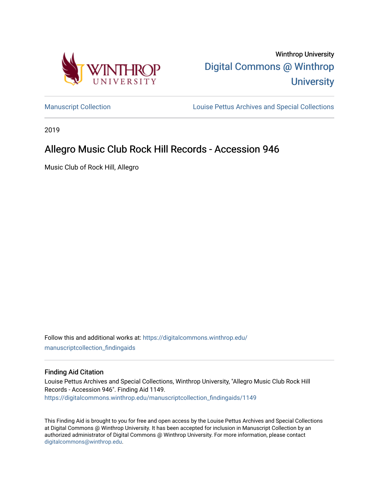

Winthrop University [Digital Commons @ Winthrop](https://digitalcommons.winthrop.edu/)  **University** 

[Manuscript Collection](https://digitalcommons.winthrop.edu/manuscriptcollection_findingaids) **Louise Pettus Archives and Special Collections** 

2019

# Allegro Music Club Rock Hill Records - Accession 946

Music Club of Rock Hill, Allegro

Follow this and additional works at: [https://digitalcommons.winthrop.edu/](https://digitalcommons.winthrop.edu/manuscriptcollection_findingaids?utm_source=digitalcommons.winthrop.edu%2Fmanuscriptcollection_findingaids%2F1149&utm_medium=PDF&utm_campaign=PDFCoverPages) [manuscriptcollection\\_findingaids](https://digitalcommons.winthrop.edu/manuscriptcollection_findingaids?utm_source=digitalcommons.winthrop.edu%2Fmanuscriptcollection_findingaids%2F1149&utm_medium=PDF&utm_campaign=PDFCoverPages) 

#### Finding Aid Citation

Louise Pettus Archives and Special Collections, Winthrop University, "Allegro Music Club Rock Hill Records - Accession 946". Finding Aid 1149. [https://digitalcommons.winthrop.edu/manuscriptcollection\\_findingaids/1149](https://digitalcommons.winthrop.edu/manuscriptcollection_findingaids/1149?utm_source=digitalcommons.winthrop.edu%2Fmanuscriptcollection_findingaids%2F1149&utm_medium=PDF&utm_campaign=PDFCoverPages) 

This Finding Aid is brought to you for free and open access by the Louise Pettus Archives and Special Collections at Digital Commons @ Winthrop University. It has been accepted for inclusion in Manuscript Collection by an authorized administrator of Digital Commons @ Winthrop University. For more information, please contact [digitalcommons@winthrop.edu](mailto:digitalcommons@winthrop.edu).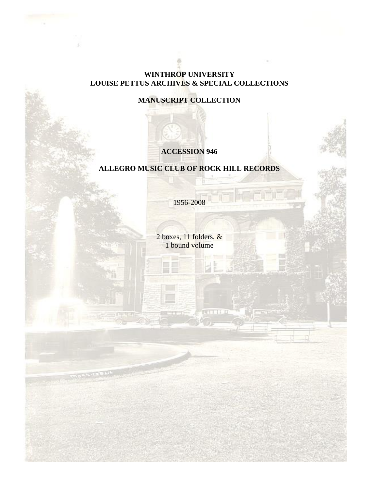## **WINTHROP UNIVERSITY LOUISE PETTUS ARCHIVES & SPECIAL COLLECTIONS**

## **MANUSCRIPT COLLECTION**

## **ACCESSION 946**

## **ALLEGRO MUSIC CLUB OF ROCK HILL RECORDS**

1956-2008

2 boxes, 11 folders, & 1 bound volume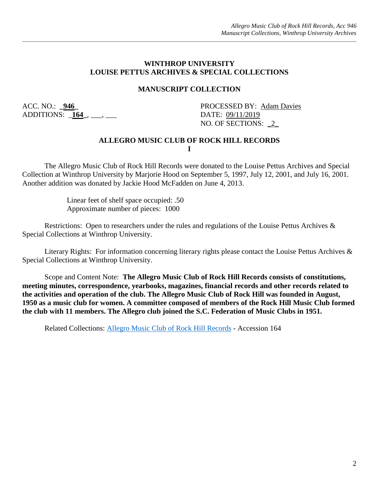#### **WINTHROP UNIVERSITY LOUISE PETTUS ARCHIVES & SPECIAL COLLECTIONS**

#### **MANUSCRIPT COLLECTION**

ADDITIONS: \_**164\_**, \_\_\_, \_\_\_ DATE: 09/11/2019

ACC. NO.: 946 **PROCESSED BY: Adam Davies** NO. OF SECTIONS: 2

### **ALLEGRO MUSIC CLUB OF ROCK HILL RECORDS I**

The Allegro Music Club of Rock Hill Records were donated to the Louise Pettus Archives and Special Collection at Winthrop University by Marjorie Hood on September 5, 1997, July 12, 2001, and July 16, 2001. Another addition was donated by Jackie Hood McFadden on June 4, 2013.

> Linear feet of shelf space occupied: .50 Approximate number of pieces: 1000

Restrictions: Open to researchers under the rules and regulations of the Louise Pettus Archives & Special Collections at Winthrop University.

Literary Rights: For information concerning literary rights please contact the Louise Pettus Archives & Special Collections at Winthrop University.

Scope and Content Note: **The Allegro Music Club of Rock Hill Records consists of constitutions, meeting minutes, correspondence, yearbooks, magazines, financial records and other records related to the activities and operation of the club. The Allegro Music Club of Rock Hill was founded in August, 1950 as a music club for women. A committee composed of members of the Rock Hill Music Club formed the club with 11 members. The Allegro club joined the S.C. Federation of Music Clubs in 1951.**

Related Collections: [Allegro Music Club of Rock Hill Records](https://digitalcommons.winthrop.edu/manuscriptcollection_findingaids/268/) - Accession 164